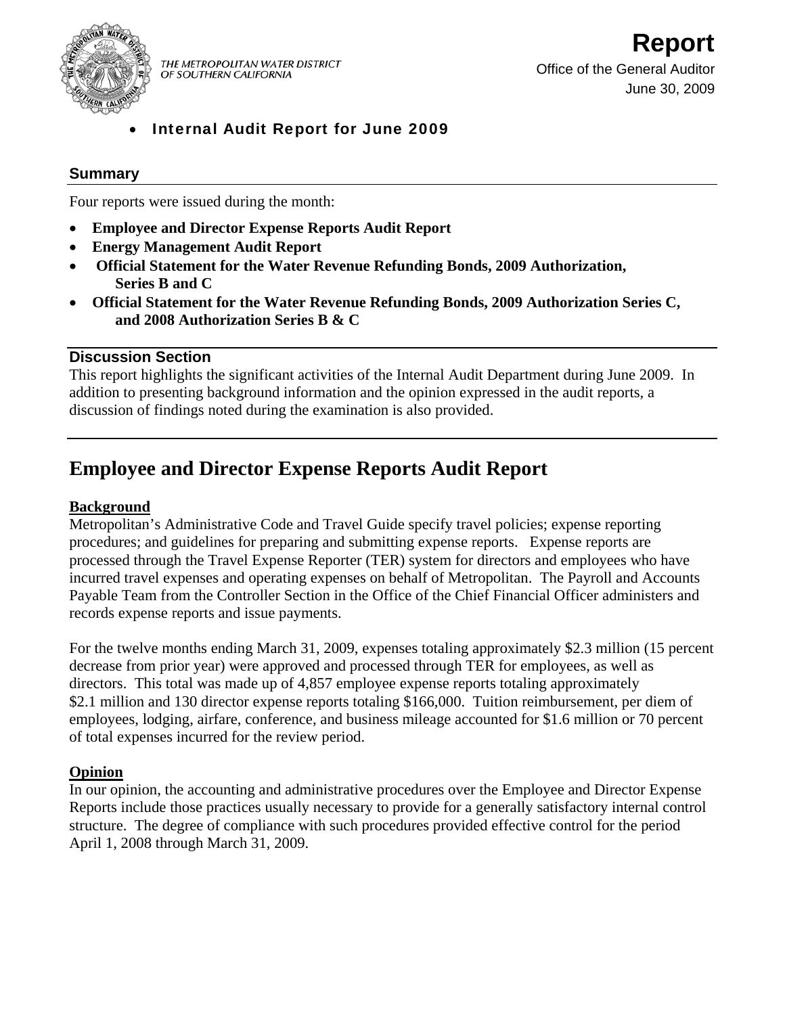

THE METROPOLITAN WATER DISTRICT OF SOUTHERN CALIFORNIA

• Internal Audit Report for June 2009

## **Summary**

Four reports were issued during the month:

- **Employee and Director Expense Reports Audit Report**
- **Energy Management Audit Report**
- • **Official Statement for the Water Revenue Refunding Bonds, 2009 Authorization, Series B and C**
- **Official Statement for the Water Revenue Refunding Bonds, 2009 Authorization Series C, and 2008 Authorization Series B & C**

## **Discussion Section**

This report highlights the significant activities of the Internal Audit Department during June 2009. In addition to presenting background information and the opinion expressed in the audit reports, a discussion of findings noted during the examination is also provided.

# **Employee and Director Expense Reports Audit Report**

#### **Background**

Metropolitan's Administrative Code and Travel Guide specify travel policies; expense reporting procedures; and guidelines for preparing and submitting expense reports. Expense reports are processed through the Travel Expense Reporter (TER) system for directors and employees who have incurred travel expenses and operating expenses on behalf of Metropolitan. The Payroll and Accounts Payable Team from the Controller Section in the Office of the Chief Financial Officer administers and records expense reports and issue payments.

For the twelve months ending March 31, 2009, expenses totaling approximately \$2.3 million (15 percent decrease from prior year) were approved and processed through TER for employees, as well as directors. This total was made up of 4,857 employee expense reports totaling approximately \$2.1 million and 130 director expense reports totaling \$166,000. Tuition reimbursement, per diem of employees, lodging, airfare, conference, and business mileage accounted for \$1.6 million or 70 percent of total expenses incurred for the review period.

#### **Opinion**

In our opinion, the accounting and administrative procedures over the Employee and Director Expense Reports include those practices usually necessary to provide for a generally satisfactory internal control structure. The degree of compliance with such procedures provided effective control for the period April 1, 2008 through March 31, 2009.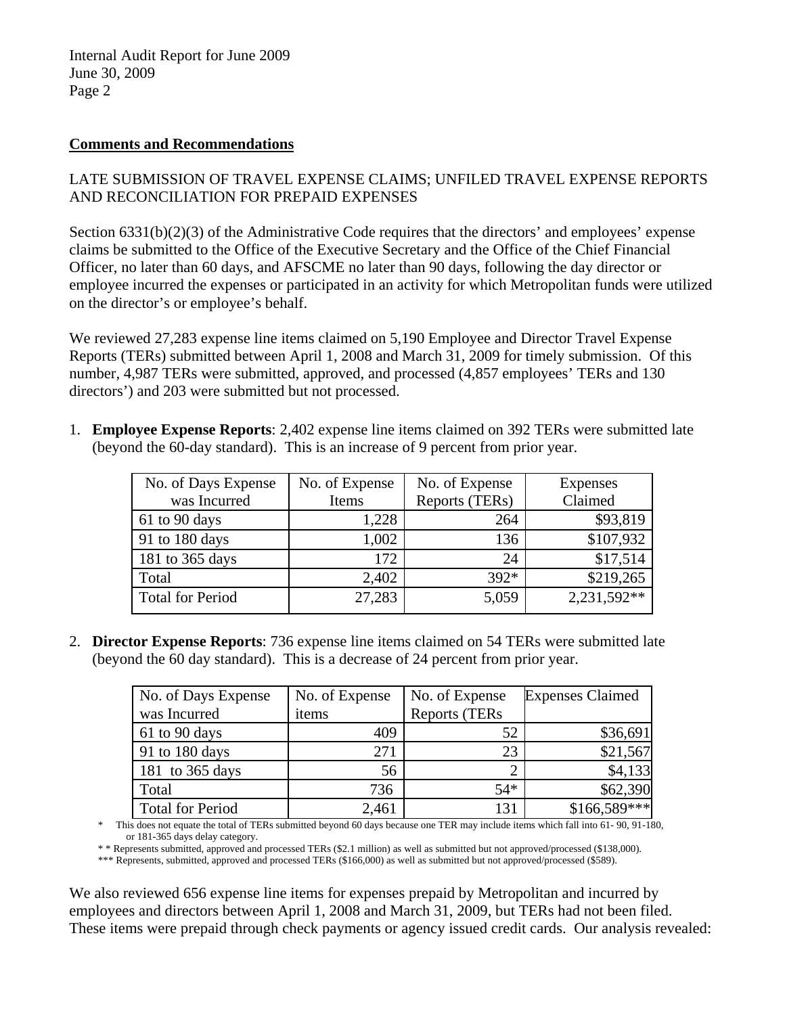#### **Comments and Recommendations**

## LATE SUBMISSION OF TRAVEL EXPENSE CLAIMS; UNFILED TRAVEL EXPENSE REPORTS AND RECONCILIATION FOR PREPAID EXPENSES

Section 6331(b)(2)(3) of the Administrative Code requires that the directors' and employees' expense claims be submitted to the Office of the Executive Secretary and the Office of the Chief Financial Officer, no later than 60 days, and AFSCME no later than 90 days, following the day director or employee incurred the expenses or participated in an activity for which Metropolitan funds were utilized on the director's or employee's behalf.

We reviewed 27,283 expense line items claimed on 5,190 Employee and Director Travel Expense Reports (TERs) submitted between April 1, 2008 and March 31, 2009 for timely submission. Of this number, 4,987 TERs were submitted, approved, and processed (4,857 employees' TERs and 130 directors') and 203 were submitted but not processed.

1. **Employee Expense Reports**: 2,402 expense line items claimed on 392 TERs were submitted late (beyond the 60-day standard). This is an increase of 9 percent from prior year.

| No. of Days Expense     | No. of Expense | No. of Expense | Expenses      |
|-------------------------|----------------|----------------|---------------|
| was Incurred            | Items          | Reports (TERs) | Claimed       |
| $61$ to 90 days         | 1,228          | 264            | \$93,819      |
| 91 to 180 days          | 1,002          | 136            | \$107,932     |
| 181 to 365 days         | 172            | 24             | \$17,514      |
| Total                   | 2,402          | $392*$         | \$219,265     |
| <b>Total for Period</b> | 27,283         | 5,059          | $2,231,592**$ |

2. **Director Expense Reports**: 736 expense line items claimed on 54 TERs were submitted late (beyond the 60 day standard). This is a decrease of 24 percent from prior year.

| No. of Days Expense     | No. of Expense | No. of Expense | <b>Expenses Claimed</b> |
|-------------------------|----------------|----------------|-------------------------|
| was Incurred            | items          | Reports (TERs  |                         |
| 61 to 90 days           | 409            | 52             | \$36,691                |
| 91 to 180 days          | 271            | 23             | \$21,567                |
| 181 to 365 days         | 56             |                | \$4,133                 |
| Total                   | 736            | $54*$          | \$62,390                |
| <b>Total for Period</b> | 2,461          | 131            | $$166,589$ ***          |

\* This does not equate the total of TERs submitted beyond 60 days because one TER may include items which fall into 61- 90, 91-180, or 181-365 days delay category.

\* \* Represents submitted, approved and processed TERs (\$2.1 million) as well as submitted but not approved/processed (\$138,000).

\*\*\* Represents, submitted, approved and processed TERs (\$166,000) as well as submitted but not approved/processed (\$589).

We also reviewed 656 expense line items for expenses prepaid by Metropolitan and incurred by employees and directors between April 1, 2008 and March 31, 2009, but TERs had not been filed. These items were prepaid through check payments or agency issued credit cards. Our analysis revealed: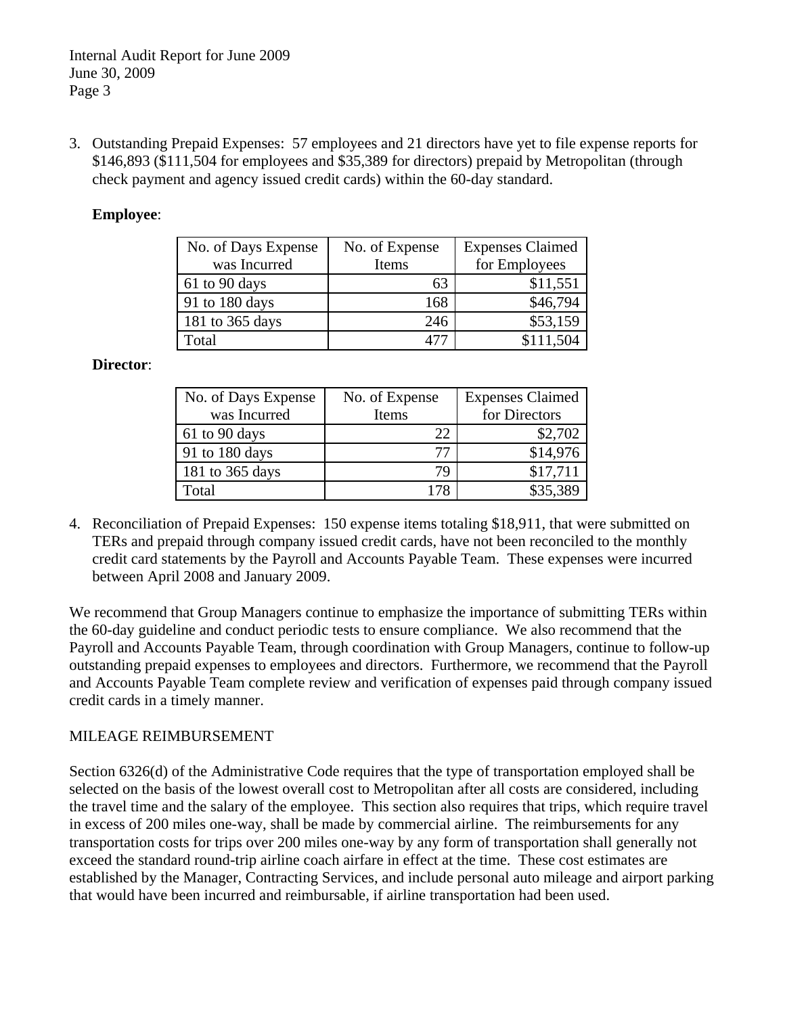3. Outstanding Prepaid Expenses: 57 employees and 21 directors have yet to file expense reports for \$146,893 (\$111,504 for employees and \$35,389 for directors) prepaid by Metropolitan (through check payment and agency issued credit cards) within the 60-day standard.

#### **Employee**:

| No. of Days Expense | No. of Expense | <b>Expenses Claimed</b> |
|---------------------|----------------|-------------------------|
| was Incurred        | Items          | for Employees           |
| 61 to 90 days       | 63             | \$11,551                |
| 91 to 180 days      | 168            | \$46,794                |
| 181 to 365 days     | 246            | \$53,159                |
| Total               |                | \$111,504               |

#### **Director**:

| No. of Days Expense | No. of Expense | <b>Expenses Claimed</b> |
|---------------------|----------------|-------------------------|
| was Incurred        | Items          | for Directors           |
| 61 to 90 days       | 22             | \$2,702                 |
| 91 to 180 days      | 77             | \$14,976                |
| 181 to 365 days     | 79             | \$17,711                |
| Total               |                | \$35,389                |

4. Reconciliation of Prepaid Expenses:150 expense items totaling \$18,911, that were submitted on TERs and prepaid through company issued credit cards, have not been reconciled to the monthly credit card statements by the Payroll and Accounts Payable Team. These expenses were incurred between April 2008 and January 2009.

We recommend that Group Managers continue to emphasize the importance of submitting TERs within the 60-day guideline and conduct periodic tests to ensure compliance. We also recommend that the Payroll and Accounts Payable Team, through coordination with Group Managers, continue to follow-up outstanding prepaid expenses to employees and directors. Furthermore, we recommend that the Payroll and Accounts Payable Team complete review and verification of expenses paid through company issued credit cards in a timely manner.

#### MILEAGE REIMBURSEMENT

Section 6326(d) of the Administrative Code requires that the type of transportation employed shall be selected on the basis of the lowest overall cost to Metropolitan after all costs are considered, including the travel time and the salary of the employee. This section also requires that trips, which require travel in excess of 200 miles one-way, shall be made by commercial airline. The reimbursements for any transportation costs for trips over 200 miles one-way by any form of transportation shall generally not exceed the standard round-trip airline coach airfare in effect at the time. These cost estimates are established by the Manager, Contracting Services, and include personal auto mileage and airport parking that would have been incurred and reimbursable, if airline transportation had been used.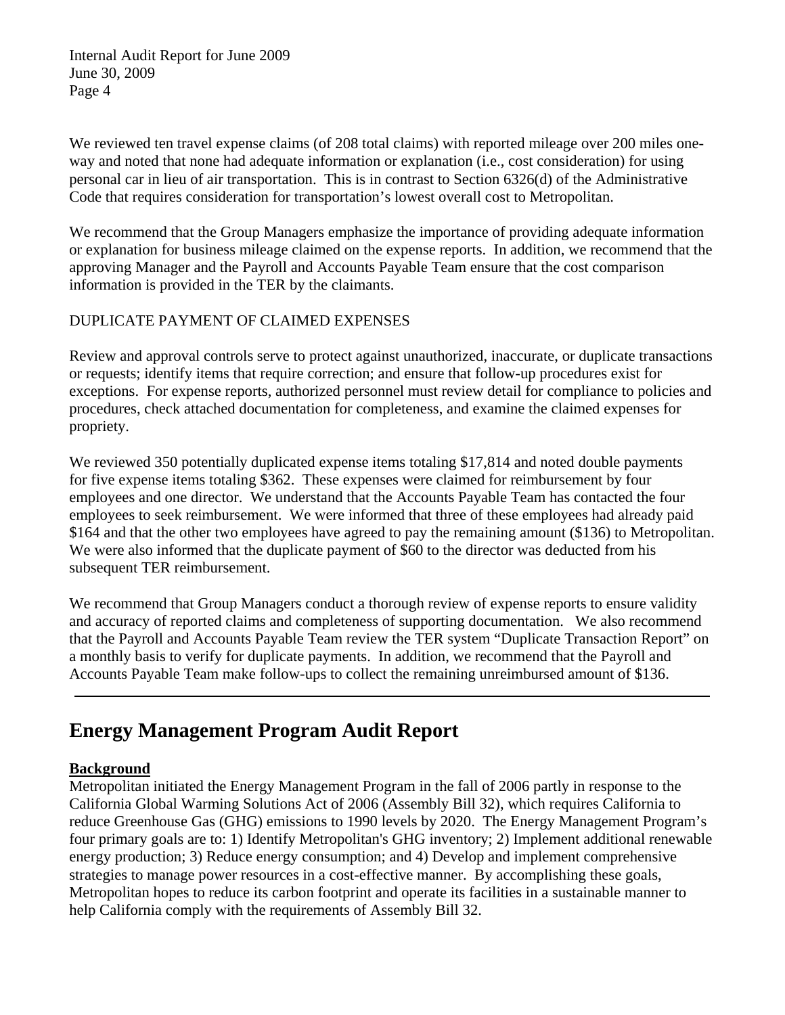We reviewed ten travel expense claims (of 208 total claims) with reported mileage over 200 miles oneway and noted that none had adequate information or explanation (i.e., cost consideration) for using personal car in lieu of air transportation. This is in contrast to Section 6326(d) of the Administrative Code that requires consideration for transportation's lowest overall cost to Metropolitan.

We recommend that the Group Managers emphasize the importance of providing adequate information or explanation for business mileage claimed on the expense reports. In addition, we recommend that the approving Manager and the Payroll and Accounts Payable Team ensure that the cost comparison information is provided in the TER by the claimants.

## DUPLICATE PAYMENT OF CLAIMED EXPENSES

Review and approval controls serve to protect against unauthorized, inaccurate, or duplicate transactions or requests; identify items that require correction; and ensure that follow-up procedures exist for exceptions. For expense reports, authorized personnel must review detail for compliance to policies and procedures, check attached documentation for completeness, and examine the claimed expenses for propriety.

We reviewed 350 potentially duplicated expense items totaling \$17,814 and noted double payments for five expense items totaling \$362. These expenses were claimed for reimbursement by four employees and one director. We understand that the Accounts Payable Team has contacted the four employees to seek reimbursement. We were informed that three of these employees had already paid \$164 and that the other two employees have agreed to pay the remaining amount (\$136) to Metropolitan. We were also informed that the duplicate payment of \$60 to the director was deducted from his subsequent TER reimbursement.

We recommend that Group Managers conduct a thorough review of expense reports to ensure validity and accuracy of reported claims and completeness of supporting documentation. We also recommend that the Payroll and Accounts Payable Team review the TER system "Duplicate Transaction Report" on a monthly basis to verify for duplicate payments. In addition, we recommend that the Payroll and Accounts Payable Team make follow-ups to collect the remaining unreimbursed amount of \$136.

## **Energy Management Program Audit Report**

## **Background**

Metropolitan initiated the Energy Management Program in the fall of 2006 partly in response to the California Global Warming Solutions Act of 2006 (Assembly Bill 32), which requires California to reduce Greenhouse Gas (GHG) emissions to 1990 levels by 2020. The Energy Management Program's four primary goals are to: 1) Identify Metropolitan's GHG inventory; 2) Implement additional renewable energy production; 3) Reduce energy consumption; and 4) Develop and implement comprehensive strategies to manage power resources in a cost-effective manner. By accomplishing these goals, Metropolitan hopes to reduce its carbon footprint and operate its facilities in a sustainable manner to help California comply with the requirements of Assembly Bill 32.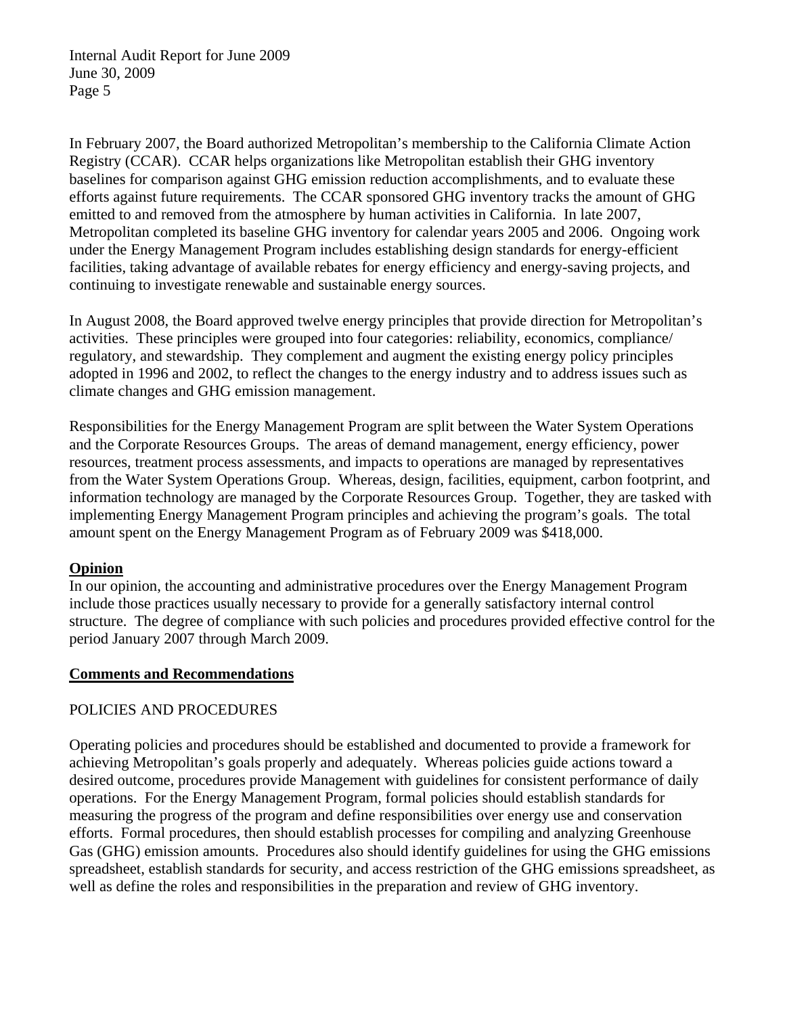In February 2007, the Board authorized Metropolitan's membership to the California Climate Action Registry (CCAR). CCAR helps organizations like Metropolitan establish their GHG inventory baselines for comparison against GHG emission reduction accomplishments, and to evaluate these efforts against future requirements. The CCAR sponsored GHG inventory tracks the amount of GHG emitted to and removed from the atmosphere by human activities in California. In late 2007, Metropolitan completed its baseline GHG inventory for calendar years 2005 and 2006. Ongoing work under the Energy Management Program includes establishing design standards for energy-efficient facilities, taking advantage of available rebates for energy efficiency and energy-saving projects, and continuing to investigate renewable and sustainable energy sources.

In August 2008, the Board approved twelve energy principles that provide direction for Metropolitan's activities. These principles were grouped into four categories: reliability, economics, compliance/ regulatory, and stewardship. They complement and augment the existing energy policy principles adopted in 1996 and 2002, to reflect the changes to the energy industry and to address issues such as climate changes and GHG emission management.

Responsibilities for the Energy Management Program are split between the Water System Operations and the Corporate Resources Groups. The areas of demand management, energy efficiency, power resources, treatment process assessments, and impacts to operations are managed by representatives from the Water System Operations Group. Whereas, design, facilities, equipment, carbon footprint, and information technology are managed by the Corporate Resources Group. Together, they are tasked with implementing Energy Management Program principles and achieving the program's goals. The total amount spent on the Energy Management Program as of February 2009 was \$418,000.

#### **Opinion**

In our opinion, the accounting and administrative procedures over the Energy Management Program include those practices usually necessary to provide for a generally satisfactory internal control structure. The degree of compliance with such policies and procedures provided effective control for the period January 2007 through March 2009.

#### **Comments and Recommendations**

## POLICIES AND PROCEDURES

Operating policies and procedures should be established and documented to provide a framework for achieving Metropolitan's goals properly and adequately. Whereas policies guide actions toward a desired outcome, procedures provide Management with guidelines for consistent performance of daily operations. For the Energy Management Program, formal policies should establish standards for measuring the progress of the program and define responsibilities over energy use and conservation efforts. Formal procedures, then should establish processes for compiling and analyzing Greenhouse Gas (GHG) emission amounts. Procedures also should identify guidelines for using the GHG emissions spreadsheet, establish standards for security, and access restriction of the GHG emissions spreadsheet, as well as define the roles and responsibilities in the preparation and review of GHG inventory.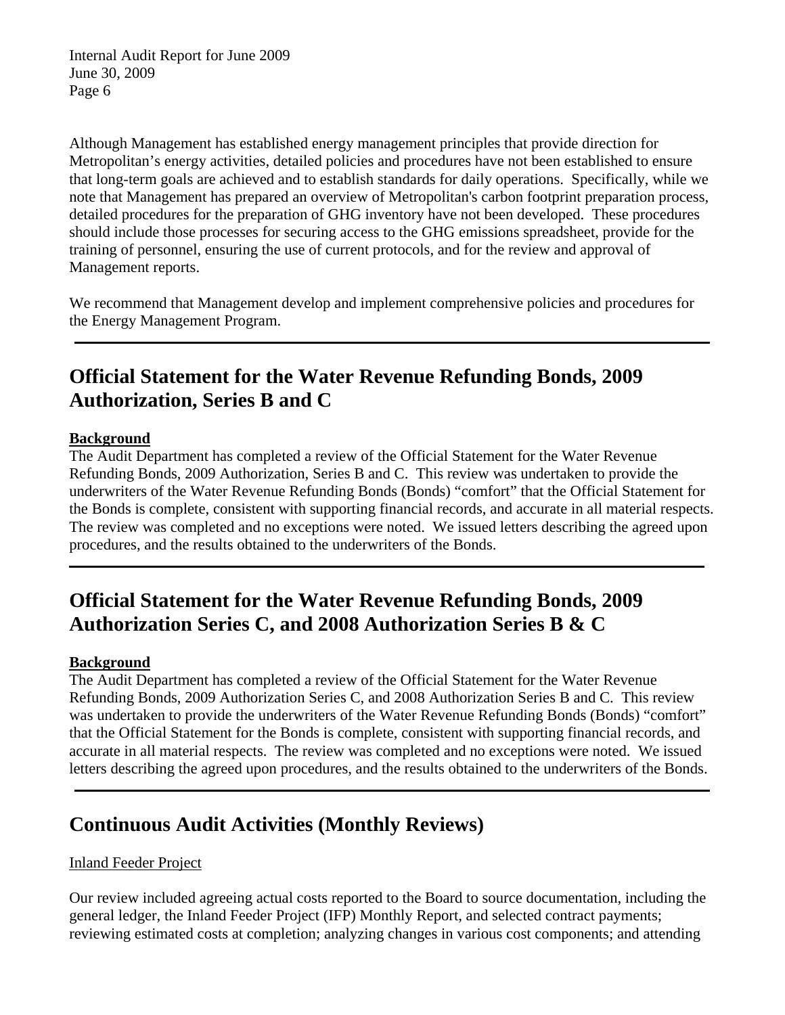Although Management has established energy management principles that provide direction for Metropolitan's energy activities, detailed policies and procedures have not been established to ensure that long-term goals are achieved and to establish standards for daily operations. Specifically, while we note that Management has prepared an overview of Metropolitan's carbon footprint preparation process, detailed procedures for the preparation of GHG inventory have not been developed. These procedures should include those processes for securing access to the GHG emissions spreadsheet, provide for the training of personnel, ensuring the use of current protocols, and for the review and approval of Management reports.

We recommend that Management develop and implement comprehensive policies and procedures for the Energy Management Program.

# **Official Statement for the Water Revenue Refunding Bonds, 2009 Authorization, Series B and C**

#### **Background**

The Audit Department has completed a review of the Official Statement for the Water Revenue Refunding Bonds, 2009 Authorization, Series B and C. This review was undertaken to provide the underwriters of the Water Revenue Refunding Bonds (Bonds) "comfort" that the Official Statement for the Bonds is complete, consistent with supporting financial records, and accurate in all material respects. The review was completed and no exceptions were noted. We issued letters describing the agreed upon procedures, and the results obtained to the underwriters of the Bonds.

# **Official Statement for the Water Revenue Refunding Bonds, 2009 Authorization Series C, and 2008 Authorization Series B & C**

## **Background**

The Audit Department has completed a review of the Official Statement for the Water Revenue Refunding Bonds, 2009 Authorization Series C, and 2008 Authorization Series B and C. This review was undertaken to provide the underwriters of the Water Revenue Refunding Bonds (Bonds) "comfort" that the Official Statement for the Bonds is complete, consistent with supporting financial records, and accurate in all material respects. The review was completed and no exceptions were noted. We issued letters describing the agreed upon procedures, and the results obtained to the underwriters of the Bonds.

## **Continuous Audit Activities (Monthly Reviews)**

## Inland Feeder Project

Our review included agreeing actual costs reported to the Board to source documentation, including the general ledger, the Inland Feeder Project (IFP) Monthly Report, and selected contract payments; reviewing estimated costs at completion; analyzing changes in various cost components; and attending